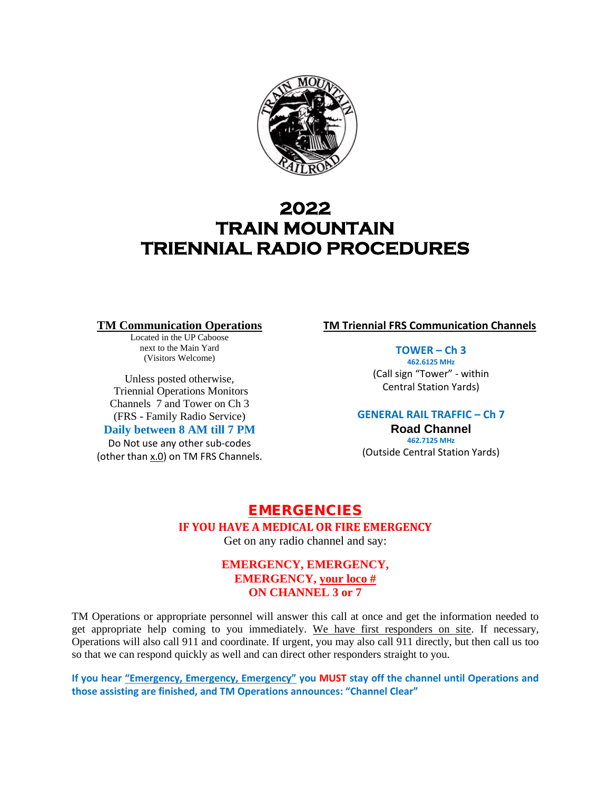

# **2022 TRAIN MOUNTAIN TRIENNIAL RADIO PROCEDURES**

#### **TM Communication Operations**

Located in the UP Caboose next to the Main Yard (Visitors Welcome)

Unless posted otherwise, Triennial Operations Monitors Channels 7 and Tower on Ch 3 (FRS - Family Radio Service)

### **Daily between 8 AM till 7 PM**

Do Not use any other sub-codes (other than x.0) on TM FRS Channels. **TM Triennial FRS Communication Channels**

**TOWER – Ch 3**

**462.6125 MHz** (Call sign "Tower" - within Central Station Yards)

### **GENERAL RAIL TRAFFIC – Ch 7**

**Road Channel 462.7125 MHz** (Outside Central Station Yards)

# EMERGENCIES **IF YOU HAVE A MEDICAL OR FIRE EMERGENCY**

Get on any radio channel and say:

## **EMERGENCY, EMERGENCY, EMERGENCY, your loco # ON CHANNEL 3 or 7**

TM Operations or appropriate personnel will answer this call at once and get the information needed to get appropriate help coming to you immediately. We have first responders on site. If necessary, Operations will also call 911 and coordinate. If urgent, you may also call 911 directly, but then call us too so that we can respond quickly as well and can direct other responders straight to you.

**If you hear "Emergency, Emergency, Emergency" you MUST stay off the channel until Operations and those assisting are finished, and TM Operations announces: "Channel Clear"**